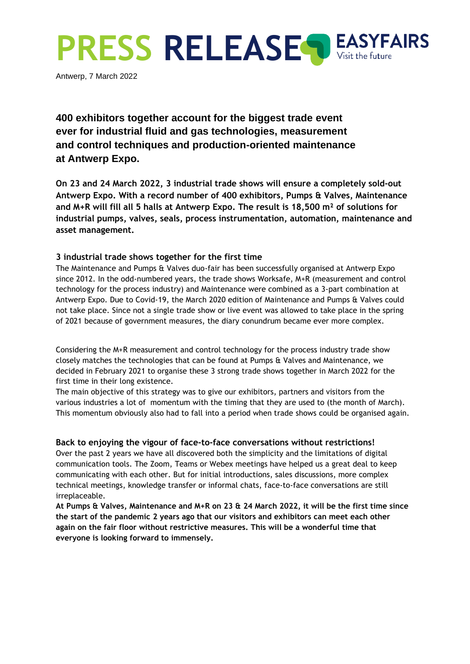

Antwerp, 7 March 2022

**400 exhibitors together account for the biggest trade event ever for industrial fluid and gas technologies, measurement and control techniques and production-oriented maintenance at Antwerp Expo.**

**On 23 and 24 March 2022, 3 industrial trade shows will ensure a completely sold-out Antwerp Expo. With a record number of 400 exhibitors, Pumps & Valves, Maintenance and M+R will fill all 5 halls at Antwerp Expo. The result is 18,500 m² of solutions for industrial pumps, valves, seals, process instrumentation, automation, maintenance and asset management.**

## **3 industrial trade shows together for the first time**

The Maintenance and Pumps & Valves duo-fair has been successfully organised at Antwerp Expo since 2012. In the odd-numbered years, the trade shows Worksafe, M+R (measurement and control technology for the process industry) and Maintenance were combined as a 3-part combination at Antwerp Expo. Due to Covid-19, the March 2020 edition of Maintenance and Pumps & Valves could not take place. Since not a single trade show or live event was allowed to take place in the spring of 2021 because of government measures, the diary conundrum became ever more complex.

Considering the M+R measurement and control technology for the process industry trade show closely matches the technologies that can be found at Pumps & Valves and Maintenance, we decided in February 2021 to organise these 3 strong trade shows together in March 2022 for the first time in their long existence.

The main objective of this strategy was to give our exhibitors, partners and visitors from the various industries a lot of momentum with the timing that they are used to (the month of March). This momentum obviously also had to fall into a period when trade shows could be organised again.

## **Back to enjoying the vigour of face-to-face conversations without restrictions!**

Over the past 2 years we have all discovered both the simplicity and the limitations of digital communication tools. The Zoom, Teams or Webex meetings have helped us a great deal to keep communicating with each other. But for initial introductions, sales discussions, more complex technical meetings, knowledge transfer or informal chats, face-to-face conversations are still irreplaceable.

**At Pumps & Valves, Maintenance and M+R on 23 & 24 March 2022, it will be the first time since the start of the pandemic 2 years ago that our visitors and exhibitors can meet each other again on the fair floor without restrictive measures. This will be a wonderful time that everyone is looking forward to immensely.**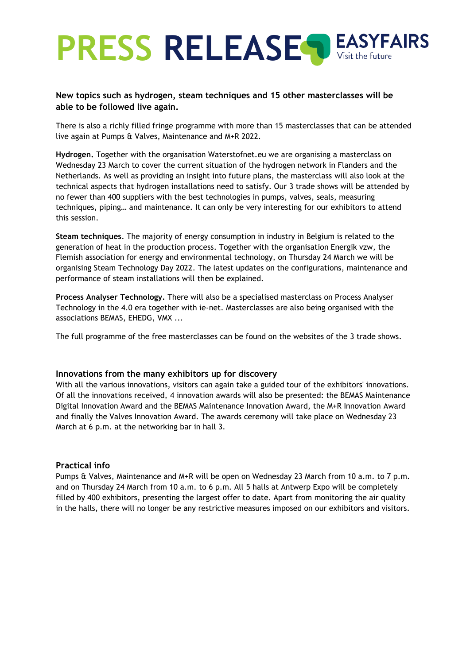# **PRESS RELEASE**

## **New topics such as hydrogen, steam techniques and 15 other masterclasses will be able to be followed live again.**

There is also a richly filled fringe programme with more than 15 masterclasses that can be attended live again at Pumps & Valves, Maintenance and M+R 2022.

**Hydrogen.** Together with the organisation Waterstofnet.eu we are organising a masterclass on Wednesday 23 March to cover the current situation of the hydrogen network in Flanders and the Netherlands. As well as providing an insight into future plans, the masterclass will also look at the technical aspects that hydrogen installations need to satisfy. Our 3 trade shows will be attended by no fewer than 400 suppliers with the best technologies in pumps, valves, seals, measuring techniques, piping… and maintenance. It can only be very interesting for our exhibitors to attend this session.

**Steam techniques**. The majority of energy consumption in industry in Belgium is related to the generation of heat in the production process. Together with the organisation Energik vzw, the Flemish association for energy and environmental technology, on Thursday 24 March we will be organising Steam Technology Day 2022. The latest updates on the configurations, maintenance and performance of steam installations will then be explained.

**Process Analyser Technology.** There will also be a specialised masterclass on Process Analyser Technology in the 4.0 era together with ie-net. Masterclasses are also being organised with the associations BEMAS, EHEDG, VMX ...

The full programme of the free masterclasses can be found on the websites of the 3 trade shows.

## **Innovations from the many exhibitors up for discovery**

With all the various innovations, visitors can again take a guided tour of the exhibitors' innovations. Of all the innovations received, 4 innovation awards will also be presented: the BEMAS Maintenance Digital Innovation Award and the BEMAS Maintenance Innovation Award, the M+R Innovation Award and finally the Valves Innovation Award. The awards ceremony will take place on Wednesday 23 March at 6 p.m. at the networking bar in hall 3.

## **Practical info**

Pumps & Valves, Maintenance and M+R will be open on Wednesday 23 March from 10 a.m. to 7 p.m. and on Thursday 24 March from 10 a.m. to 6 p.m. All 5 halls at Antwerp Expo will be completely filled by 400 exhibitors, presenting the largest offer to date. Apart from monitoring the air quality in the halls, there will no longer be any restrictive measures imposed on our exhibitors and visitors.